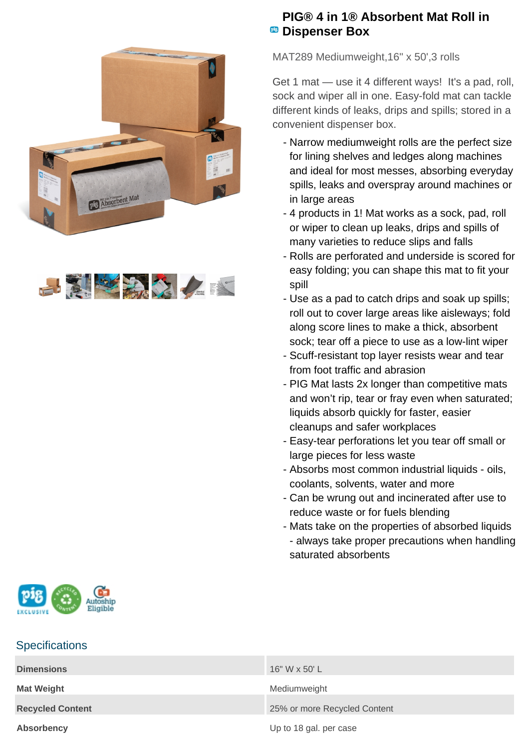



## **PIG® 4 in 1® Absorbent Mat Roll in <sup>B</sup>** Dispenser Box

MAT289 Mediumweight,16" x 50',3 rolls

Get 1 mat — use it 4 different ways! It's a pad, roll, sock and wiper all in one. Easy-fold mat can tackle different kinds of leaks, drips and spills; stored in a convenient dispenser box.

- Narrow mediumweight rolls are the perfect size for lining shelves and ledges along machines and ideal for most messes, absorbing everyday spills, leaks and overspray around machines or in large areas
- 4 products in 1! Mat works as a sock, pad, roll or wiper to clean up leaks, drips and spills of many varieties to reduce slips and falls
- Rolls are perforated and underside is scored for easy folding; you can shape this mat to fit your spill
- Use as a pad to catch drips and soak up spills; roll out to cover large areas like aisleways; fold along score lines to make a thick, absorbent sock; tear off a piece to use as a low-lint wiper
- Scuff-resistant top layer resists wear and tear from foot traffic and abrasion
- PIG Mat lasts 2x longer than competitive mats and won't rip, tear or fray even when saturated; liquids absorb quickly for faster, easier cleanups and safer workplaces
- Easy-tear perforations let you tear off small or large pieces for less waste
- Absorbs most common industrial liquids oils, coolants, solvents, water and more
- Can be wrung out and incinerated after use to reduce waste or for fuels blending
- Mats take on the properties of absorbed liquids - always take proper precautions when handling saturated absorbents



## **Specifications**

| <b>Dimensions</b>       | 16" W x 50' L                |
|-------------------------|------------------------------|
| <b>Mat Weight</b>       | Mediumweight                 |
| <b>Recycled Content</b> | 25% or more Recycled Content |
| Absorbency              | Up to 18 gal. per case       |